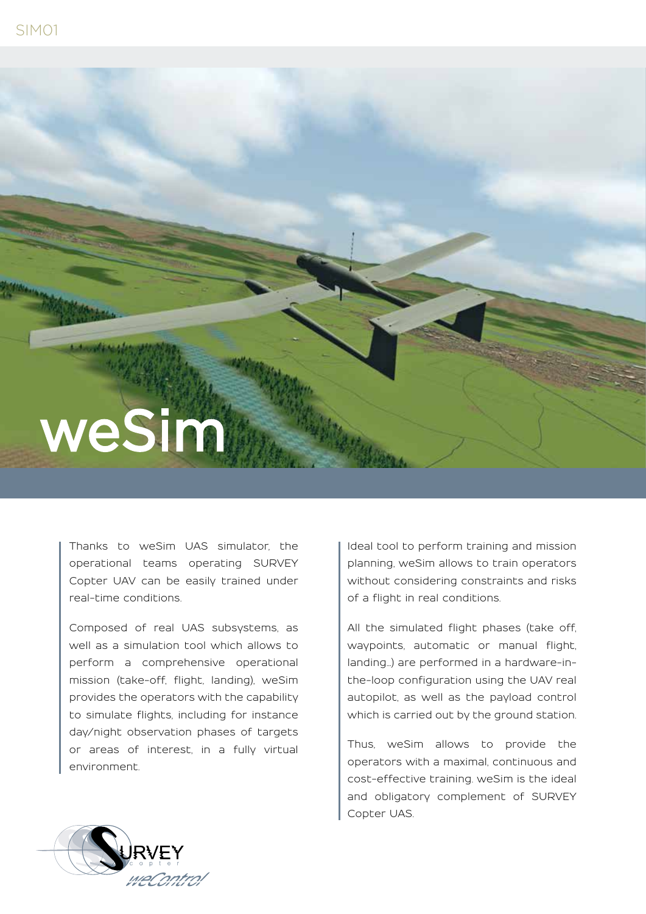

Thanks to weSim UAS simulator, the operational teams operating SURVEY Copter UAV can be easily trained under real-time conditions.

Composed of real UAS subsystems, as well as a simulation tool which allows to perform a comprehensive operational mission (take-off, flight, landing), weSim provides the operators with the capability to simulate flights, including for instance day/night observation phases of targets or areas of interest, in a fully virtual environment.

Ideal tool to perform training and mission planning, weSim allows to train operators without considering constraints and risks of a flight in real conditions.

All the simulated flight phases (take off, waypoints, automatic or manual flight, landing…) are performed in a hardware-inthe-loop configuration using the UAV real autopilot, as well as the payload control which is carried out by the ground station.

Thus, weSim allows to provide the operators with a maximal, continuous and cost-effective training. weSim is the ideal and obligatory complement of SURVEY Copter UAS.

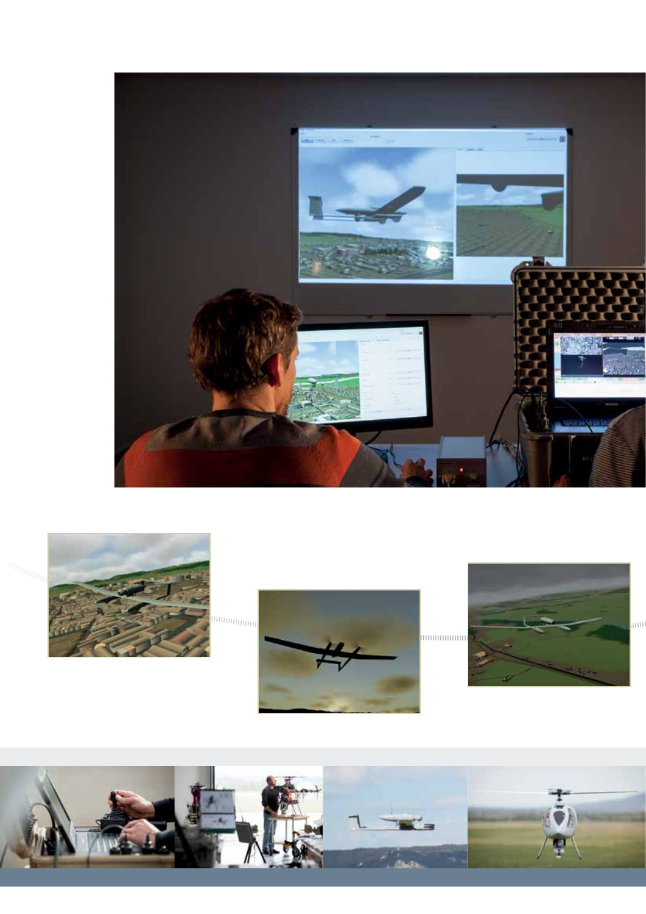







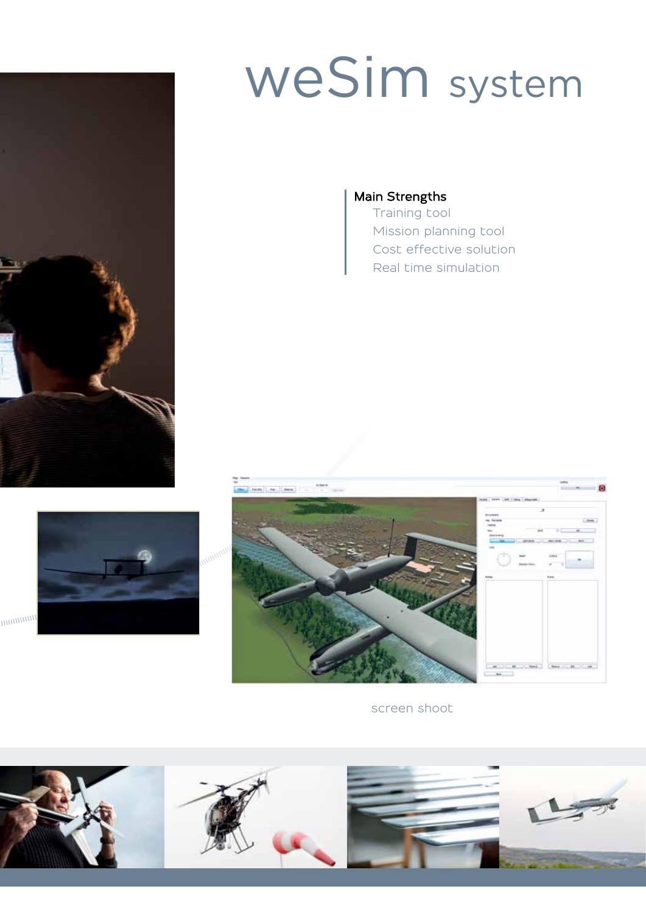

ummmm

## weSim system

## Main Strengths

Training tool Mission planning tool Cost effective solution Real time simulation



screen shoot